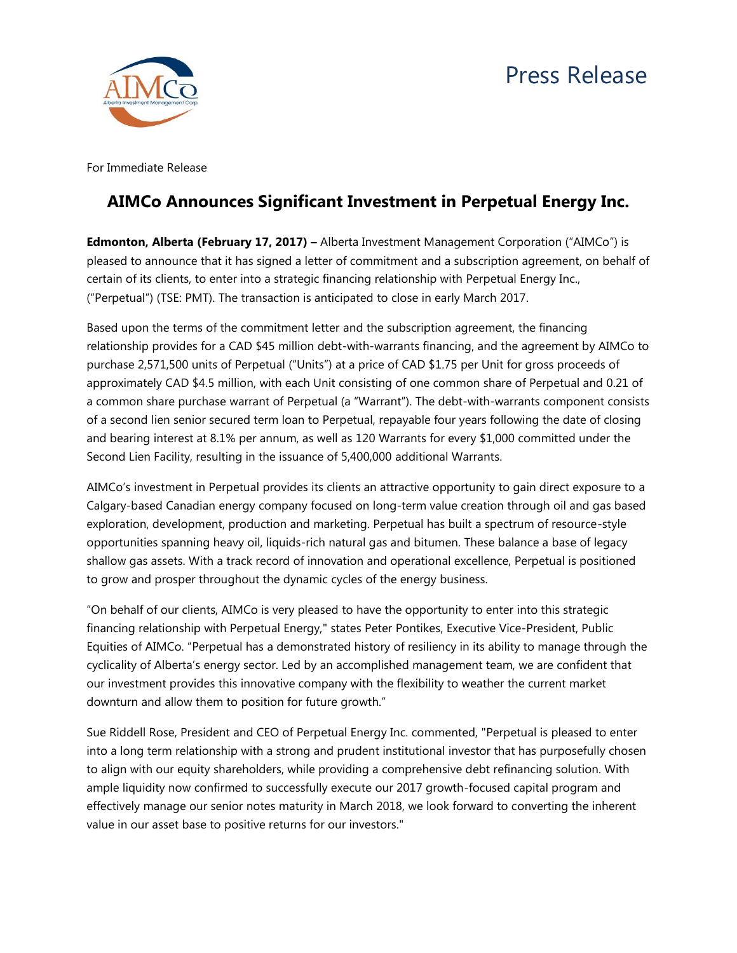

For Immediate Release

## **AIMCo Announces Significant Investment in Perpetual Energy Inc.**

**Edmonton, Alberta (February 17, 2017) –** Alberta Investment Management Corporation ("AIMCo") is pleased to announce that it has signed a letter of commitment and a subscription agreement, on behalf of certain of its clients, to enter into a strategic financing relationship with Perpetual Energy Inc., ("Perpetual") (TSE: PMT). The transaction is anticipated to close in early March 2017.

Based upon the terms of the commitment letter and the subscription agreement, the financing relationship provides for a CAD \$45 million debt-with-warrants financing, and the agreement by AIMCo to purchase 2,571,500 units of Perpetual ("Units") at a price of CAD \$1.75 per Unit for gross proceeds of approximately CAD \$4.5 million, with each Unit consisting of one common share of Perpetual and 0.21 of a common share purchase warrant of Perpetual (a "Warrant"). The debt-with-warrants component consists of a second lien senior secured term loan to Perpetual, repayable four years following the date of closing and bearing interest at 8.1% per annum, as well as 120 Warrants for every \$1,000 committed under the Second Lien Facility, resulting in the issuance of 5,400,000 additional Warrants.

AIMCo's investment in Perpetual provides its clients an attractive opportunity to gain direct exposure to a Calgary-based Canadian energy company focused on long-term value creation through oil and gas based exploration, development, production and marketing. Perpetual has built a spectrum of resource-style opportunities spanning heavy oil, liquids-rich natural gas and bitumen. These balance a base of legacy shallow gas assets. With a track record of innovation and operational excellence, Perpetual is positioned to grow and prosper throughout the dynamic cycles of the energy business.

"On behalf of our clients, AIMCo is very pleased to have the opportunity to enter into this strategic financing relationship with Perpetual Energy," states Peter Pontikes, Executive Vice-President, Public Equities of AIMCo. "Perpetual has a demonstrated history of resiliency in its ability to manage through the cyclicality of Alberta's energy sector. Led by an accomplished management team, we are confident that our investment provides this innovative company with the flexibility to weather the current market downturn and allow them to position for future growth."

Sue Riddell Rose, President and CEO of Perpetual Energy Inc. commented, "Perpetual is pleased to enter into a long term relationship with a strong and prudent institutional investor that has purposefully chosen to align with our equity shareholders, while providing a comprehensive debt refinancing solution. With ample liquidity now confirmed to successfully execute our 2017 growth-focused capital program and effectively manage our senior notes maturity in March 2018, we look forward to converting the inherent value in our asset base to positive returns for our investors."